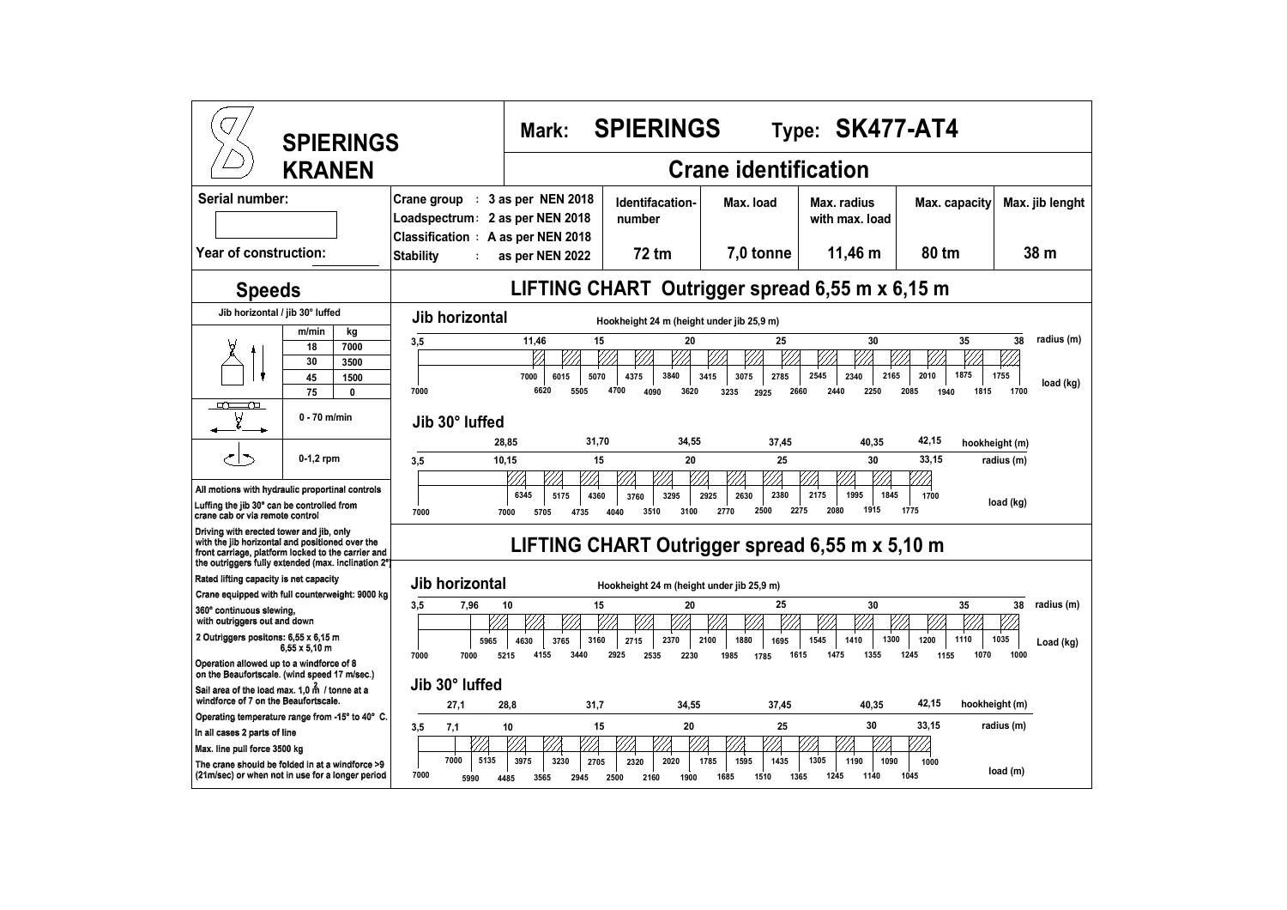| <b>SPIERINGS</b><br><b>KRANEN</b>                                                                                                                                                                                                                          |                                                                                                          | <b>SPIERINGS</b><br>Type: SK477-AT4<br>Mark:                                  |                                                     |                                                     |                                                             |                                            |                                               |
|------------------------------------------------------------------------------------------------------------------------------------------------------------------------------------------------------------------------------------------------------------|----------------------------------------------------------------------------------------------------------|-------------------------------------------------------------------------------|-----------------------------------------------------|-----------------------------------------------------|-------------------------------------------------------------|--------------------------------------------|-----------------------------------------------|
|                                                                                                                                                                                                                                                            |                                                                                                          | <b>Crane identification</b>                                                   |                                                     |                                                     |                                                             |                                            |                                               |
| Serial number:                                                                                                                                                                                                                                             | Crane group : 3 as per NEN 2018<br>Loadspectrum: 2 as per NEN 2018<br>Classification : A as per NEN 2018 |                                                                               | Identifacation-<br>number                           | Max. load                                           | Max. radius<br>with max. load                               | Max. capacity                              | Max. jib lenght                               |
| Year of construction:<br><b>Stability</b>                                                                                                                                                                                                                  |                                                                                                          | as per NEN 2022                                                               | 72 tm                                               | 7,0 tonne                                           | 11,46 m                                                     | 80 tm                                      | 38 <sub>m</sub>                               |
| <b>Speeds</b>                                                                                                                                                                                                                                              | LIFTING CHART Outrigger spread 6,55 m x 6,15 m                                                           |                                                                               |                                                     |                                                     |                                                             |                                            |                                               |
| Jib horizontal / jib 30° luffed                                                                                                                                                                                                                            | Jib horizontal<br>Hookheight 24 m (height under jib 25,9 m)                                              |                                                                               |                                                     |                                                     |                                                             |                                            |                                               |
| m/min<br>kg<br>7000<br>18<br>30<br>3500<br>45<br>1500<br>75<br>0<br>$\Gamma$<br>Þ                                                                                                                                                                          | 3,5<br>7000                                                                                              | 11.46<br>15<br>6015<br>5070<br>7000<br>6620<br>5505                           | 20<br>3840<br>4375<br>4700<br>4090<br>3620          | 25<br>3415<br>3075<br>2785<br>3235<br>2660<br>2925  | 30<br>2545<br>2165<br>2340<br>2250<br>2440                  | 35<br>2010<br>1875<br>2085<br>1815<br>1940 | radius (m)<br>38<br>1755<br>load (kg)<br>1700 |
| $0 - 70$ m/min                                                                                                                                                                                                                                             | Jib 30° luffed                                                                                           |                                                                               |                                                     |                                                     |                                                             |                                            |                                               |
| $0-1,2$ rpm<br>All motions with hydraulic proportinal controls<br>Luffing the jib 30° can be controlled from<br>crane cab or via remote control                                                                                                            | 3,5<br>7000                                                                                              | 28,85<br>31,70<br>10,15<br>15<br>6345<br>5175<br>4360<br>4735<br>7000<br>5705 | 34,55<br>20<br>3760<br>3295<br>3510<br>3100<br>4040 | 37,45<br>25<br>2925<br>2630<br>2380<br>2500<br>2770 | 40,35<br>30<br>2175<br>1995<br>1845<br>2080<br>1915<br>2275 | 42,15<br>33,15<br>1700<br>1775             | hookheight (m)<br>radius (m)<br>load (kg)     |
| Driving with erected tower and jib, only<br>with the jib horizontal and positioned over the<br>LIFTING CHART Outrigger spread 6,55 m x 5,10 m<br>front carriage, platform locked to the carrier and<br>the outriggers fully extended (max. inclination 2°) |                                                                                                          |                                                                               |                                                     |                                                     |                                                             |                                            |                                               |
| Rated lifting capacity is net capacity                                                                                                                                                                                                                     | Jib horizontal                                                                                           |                                                                               | Hookheight 24 m (height under jib 25,9 m)           |                                                     |                                                             |                                            |                                               |
| Crane equipped with full counterweight: 9000 kg<br>3.5<br>7.96<br>360° continuous slewing.                                                                                                                                                                 |                                                                                                          | 15<br>10                                                                      | 20                                                  | 25                                                  | 30                                                          | 35                                         | radius (m)<br>38                              |
| with outriggers out and down<br>2 Outriggers positons: 6,55 x 6,15 m<br>$6.55 \times 5.10$ m<br>Operation allowed up to a windforce of 8                                                                                                                   | 5965<br>7000<br>7000                                                                                     | 4630<br>3765<br>3160<br>4155<br>5215<br>3440                                  | 2370<br>2715<br>2925<br>2535<br>2230                | 2100<br>1880<br>1695<br>1985<br>1785                | 1545<br>1300<br>1410<br>1615<br>1475<br>1355                | 1110<br>1200<br>1245<br>1070<br>1155       | 1035<br>Load (kg)<br>1000                     |
| on the Beaufortscale. (wind speed 17 m/sec.)<br>Sail area of the load max. 1.0 m / tonne at a<br>windforce of 7 on the Beaufortscale.                                                                                                                      | Jib 30° luffed<br>27,1                                                                                   | 28,8<br>31,7                                                                  | 34,55                                               | 37,45                                               | 40,35                                                       | 42,15                                      | hookheight (m)                                |
| Operating temperature range from -15° to 40° C.<br>In all cases 2 parts of line                                                                                                                                                                            | 3,5<br>7,1                                                                                               | 15<br>10                                                                      | 20                                                  | 25                                                  | 30                                                          | 33,15                                      | radius (m)                                    |
| Max. line pull force 3500 kg<br>The crane should be folded in at a windforce >9<br>(21m/sec) or when not in use for a longer period                                                                                                                        | 7000<br>5135<br>7000<br>5990                                                                             | 3975<br>3230<br>2705<br>3565<br>2945<br>4485                                  | 2020<br>2320<br>1900<br>2500<br>2160                | 1785<br>1595<br>1435<br>1510<br>1685                | 1305<br>1190<br>1090<br>1245<br>1140<br>1365                | 1000<br>1045                               | load (m)                                      |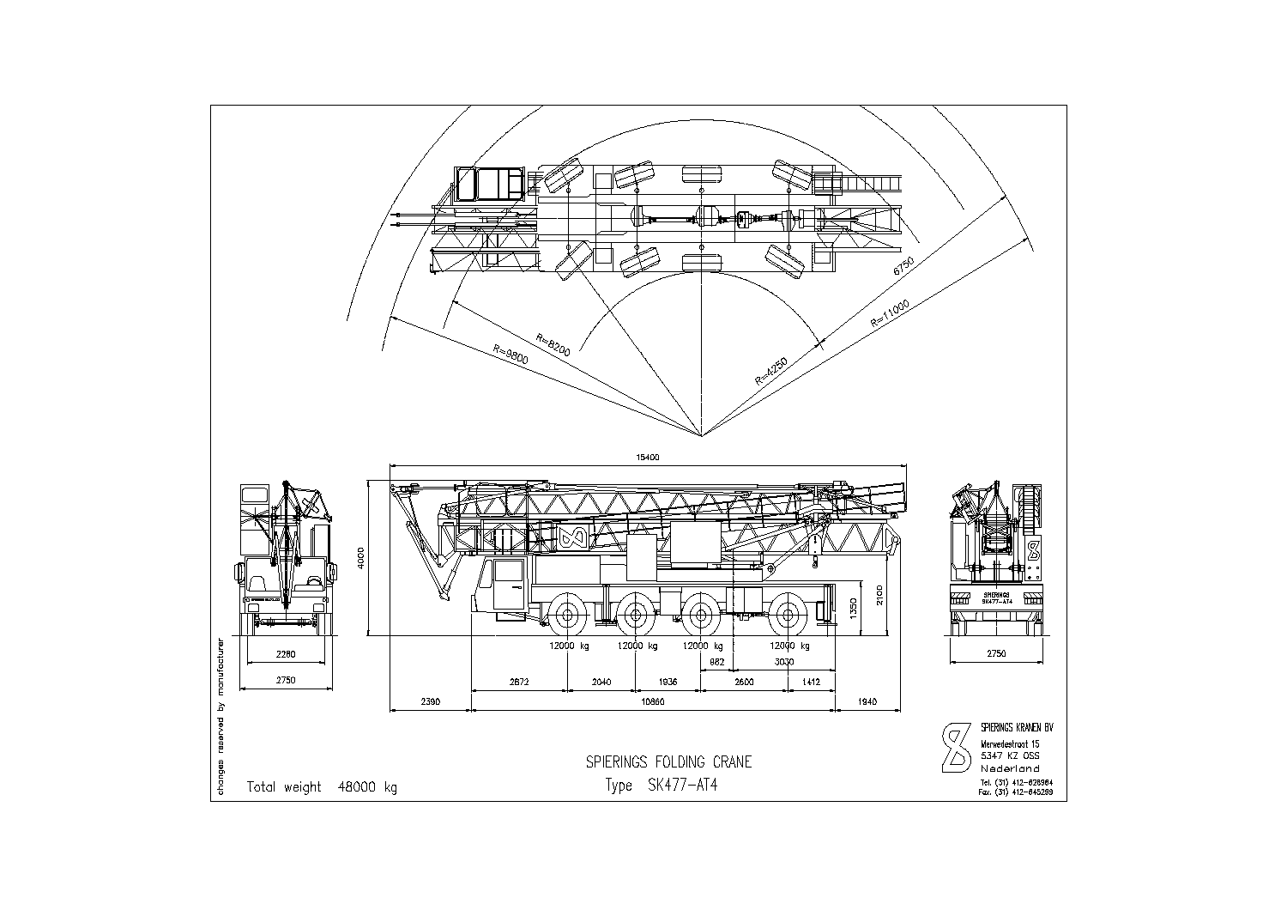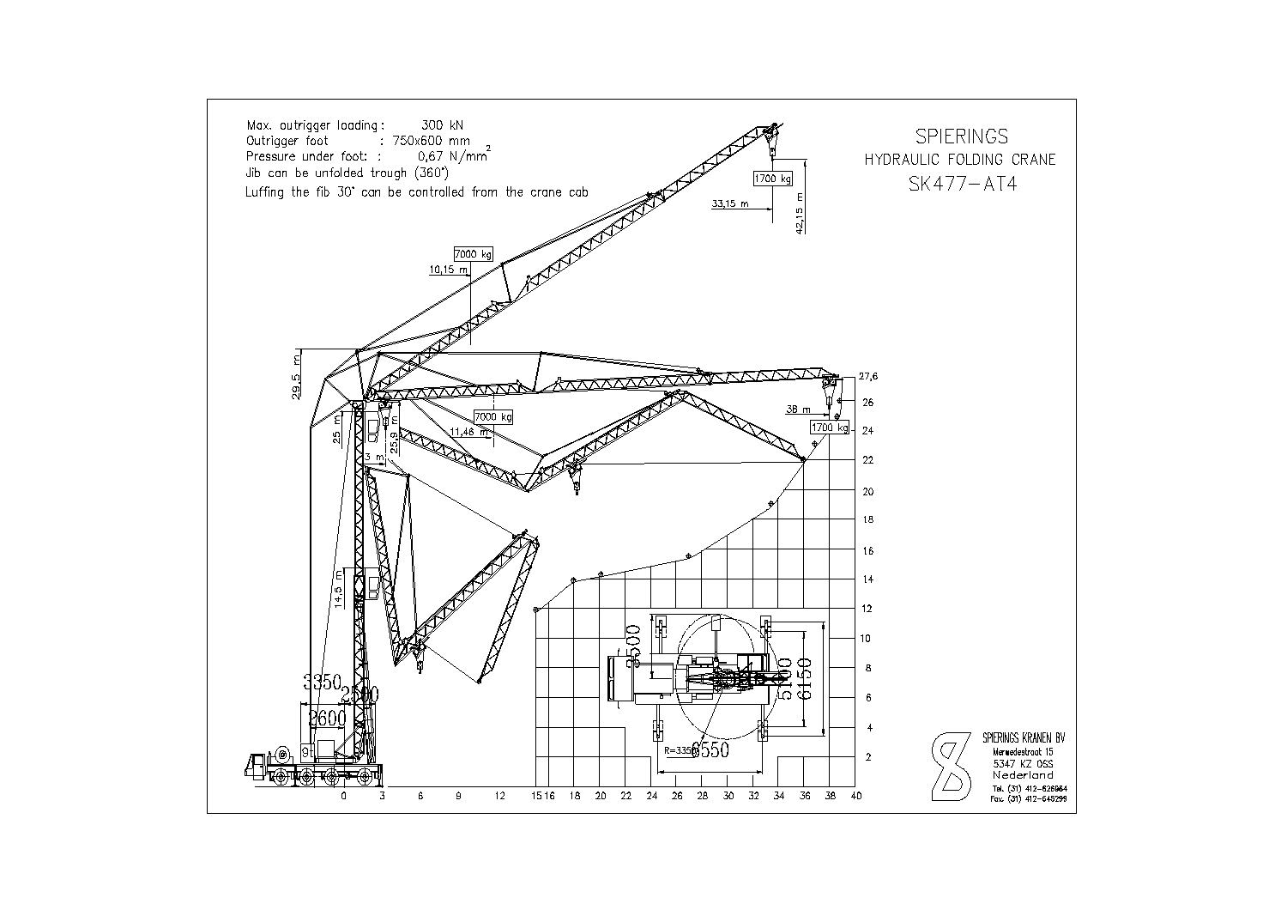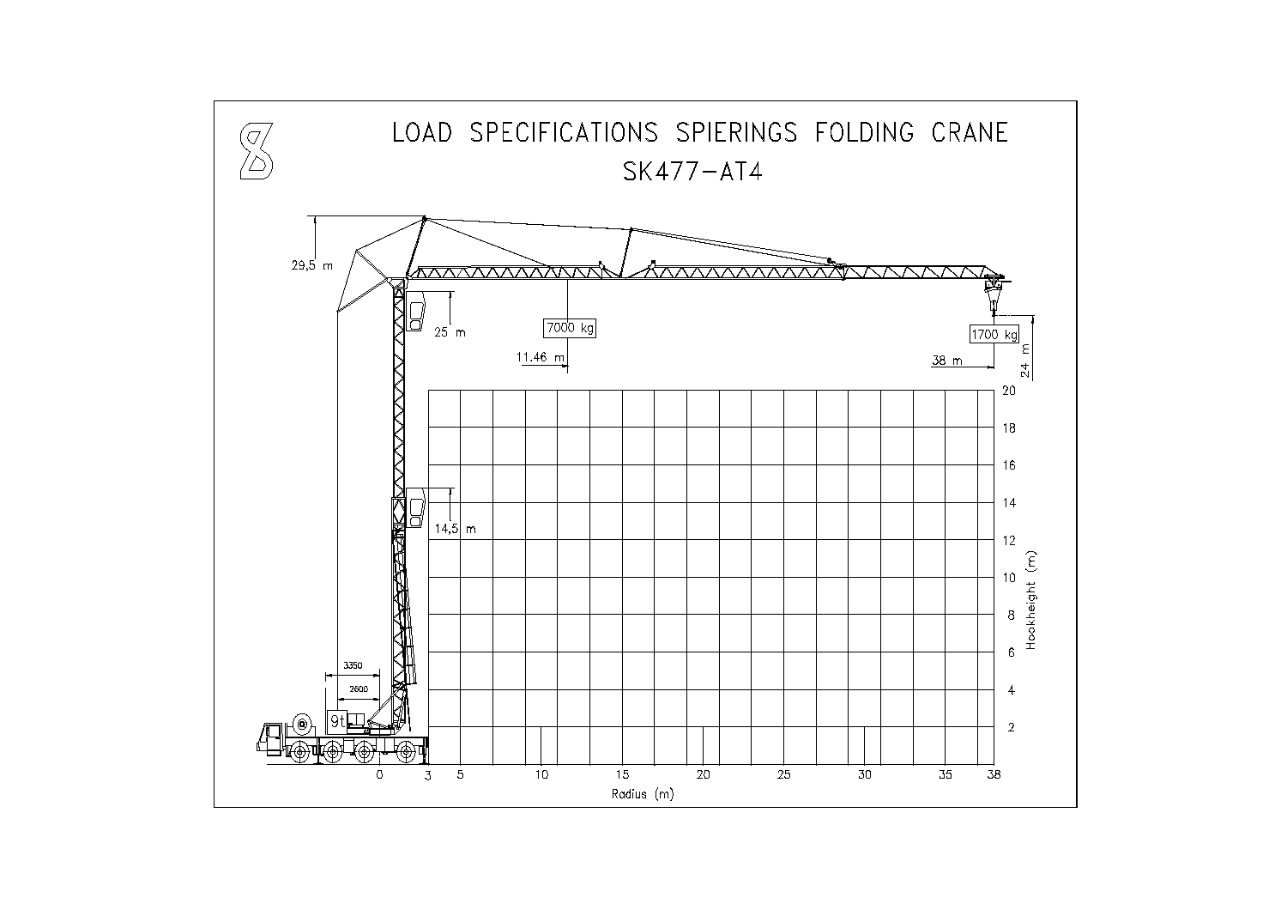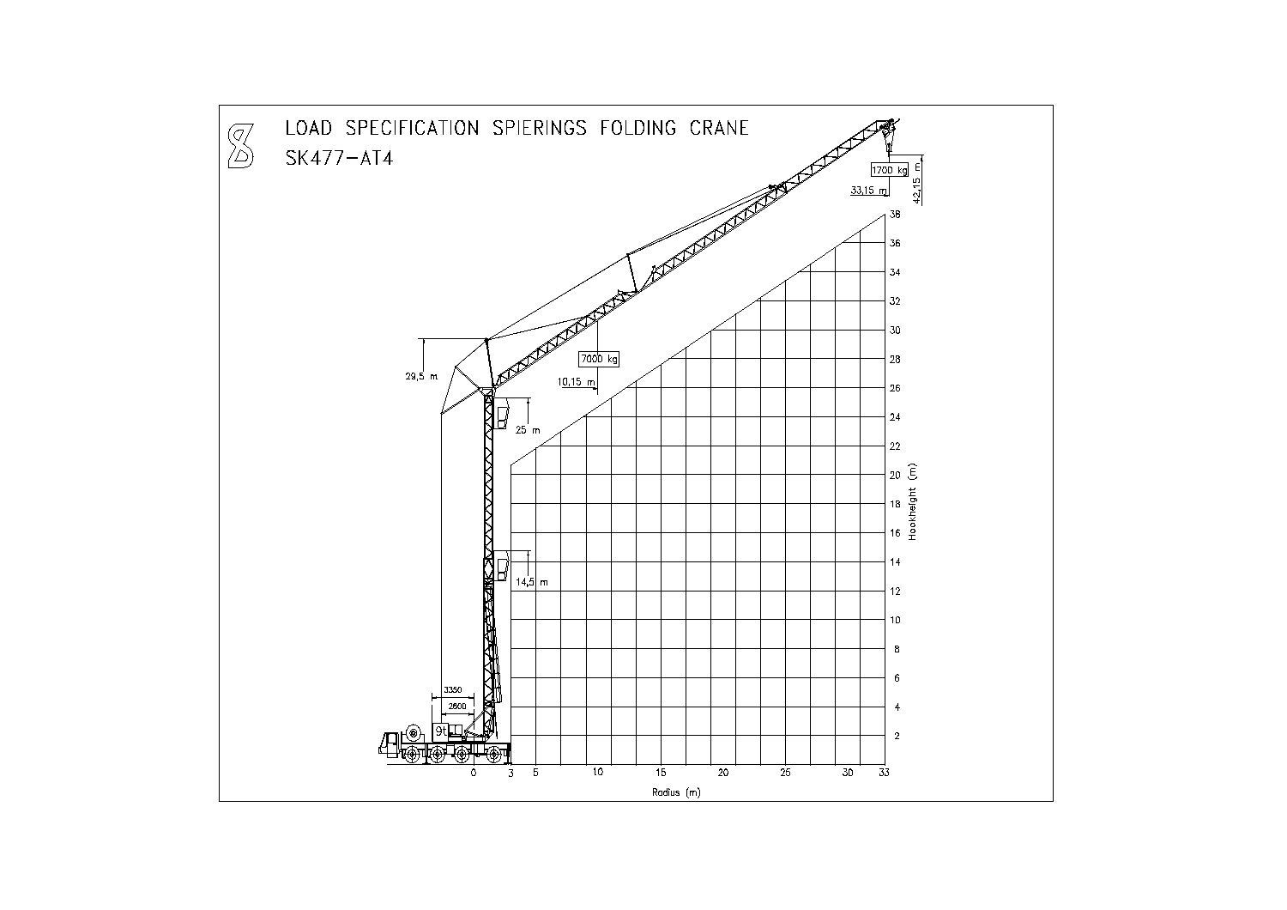